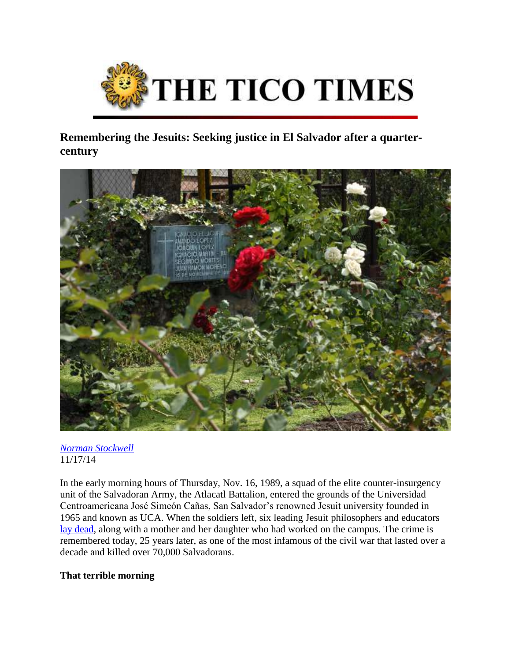

**Remembering the Jesuits: Seeking justice in El Salvador after a quartercentury**



#### *[Norman Stockwell](http://www.ticotimes.net/author/norman-stockwell)* 11/17/14

In the early morning hours of Thursday, Nov. 16, 1989, a squad of the elite counter-insurgency unit of the Salvadoran Army, the Atlacatl Battalion, entered the grounds of the Universidad Centroamericana José Simeón Cañas, San Salvador's renowned Jesuit university founded in 1965 and known as UCA. When the soldiers left, six leading Jesuit philosophers and educators [lay dead,](http://www.cja.org/section.php?id=116) along with a mother and her daughter who had worked on the campus. The crime is remembered today, 25 years later, as one of the most infamous of the civil war that lasted over a decade and killed over 70,000 Salvadorans.

# **That terrible morning**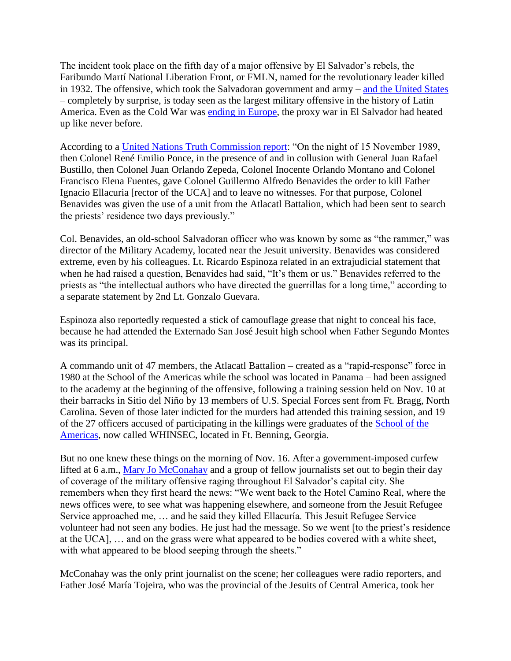The incident took place on the fifth day of a major offensive by El Salvador's rebels, the Faribundo Martí National Liberation Front, or FMLN, named for the revolutionary leader killed in 1932. The offensive, which took the Salvadoran government and army – [and the United States](http://www.franksmyth.com/wp-content/uploads/1989/12/Caught-With-Their-Pants-Down.pdf) – completely by surprise, is today seen as the largest military offensive in the history of Latin America. Even as the Cold War was [ending in Europe,](http://www2.gwu.edu/~nsarchiv/NSAEBB/NSAEBB490/) the proxy war in El Salvador had heated up like never before.

According to a [United Nations Truth Commission report:](http://www.usip.org/sites/default/files/file/ElSalvador-Report.pdf) "On the night of 15 November 1989, then Colonel René Emilio Ponce, in the presence of and in collusion with General Juan Rafael Bustillo, then Colonel Juan Orlando Zepeda, Colonel Inocente Orlando Montano and Colonel Francisco Elena Fuentes, gave Colonel Guillermo Alfredo Benavides the order to kill Father Ignacio Ellacuria [rector of the UCA] and to leave no witnesses. For that purpose, Colonel Benavides was given the use of a unit from the Atlacatl Battalion, which had been sent to search the priests' residence two days previously."

Col. Benavides, an old-school Salvadoran officer who was known by some as "the rammer," was director of the Military Academy, located near the Jesuit university. Benavides was considered extreme, even by his colleagues. Lt. Ricardo Espinoza related in an extrajudicial statement that when he had raised a question, Benavides had said, "It's them or us." Benavides referred to the priests as "the intellectual authors who have directed the guerrillas for a long time," according to a separate statement by 2nd Lt. Gonzalo Guevara.

Espinoza also reportedly requested a stick of camouflage grease that night to conceal his face, because he had attended the Externado San José Jesuit high school when Father Segundo Montes was its principal.

A commando unit of 47 members, the Atlacatl Battalion – created as a "rapid-response" force in 1980 at the School of the Americas while the school was located in Panama – had been assigned to the academy at the beginning of the offensive, following a training session held on Nov. 10 at their barracks in Sitio del Niño by 13 members of U.S. Special Forces sent from Ft. Bragg, North Carolina. Seven of those later indicted for the murders had attended this training session, and 19 of the 27 officers accused of participating in the killings were graduates of the [School of the](http://fas.org/irp/crs/soa.htm)  [Americas,](http://fas.org/irp/crs/soa.htm) now called WHINSEC, located in Ft. Benning, Georgia.

But no one knew these things on the morning of Nov. 16. After a government-imposed curfew lifted at 6 a.m., [Mary Jo McConahay](http://www.maryjomcconahay.net/) and a group of fellow journalists set out to begin their day of coverage of the military offensive raging throughout El Salvador's capital city. She remembers when they first heard the news: "We went back to the Hotel Camino Real, where the news offices were, to see what was happening elsewhere, and someone from the Jesuit Refugee Service approached me, … and he said they killed Ellacuría. This Jesuit Refugee Service volunteer had not seen any bodies. He just had the message. So we went [to the priest's residence at the UCA], … and on the grass were what appeared to be bodies covered with a white sheet, with what appeared to be blood seeping through the sheets."

McConahay was the only print journalist on the scene; her colleagues were radio reporters, and Father José María Tojeira, who was the provincial of the Jesuits of Central America, took her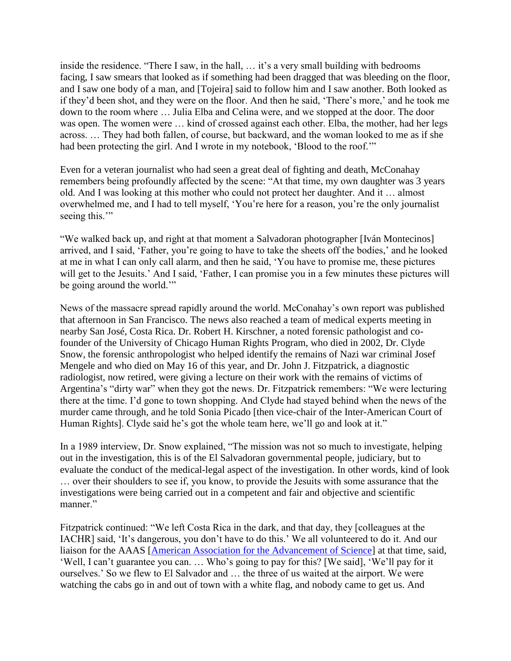inside the residence. "There I saw, in the hall, … it's a very small building with bedrooms facing, I saw smears that looked as if something had been dragged that was bleeding on the floor, and I saw one body of a man, and [Tojeira] said to follow him and I saw another. Both looked as if they'd been shot, and they were on the floor. And then he said, 'There's more,' and he took me down to the room where … Julia Elba and Celina were, and we stopped at the door. The door was open. The women were … kind of crossed against each other. Elba, the mother, had her legs across. … They had both fallen, of course, but backward, and the woman looked to me as if she had been protecting the girl. And I wrote in my notebook, 'Blood to the roof.'"

Even for a veteran journalist who had seen a great deal of fighting and death, McConahay remembers being profoundly affected by the scene: "At that time, my own daughter was 3 years old. And I was looking at this mother who could not protect her daughter. And it … almost overwhelmed me, and I had to tell myself, 'You're here for a reason, you're the only journalist seeing this."

"We walked back up, and right at that moment a Salvadoran photographer [Iván Montecinos] arrived, and I said, 'Father, you're going to have to take the sheets off the bodies,' and he looked at me in what I can only call alarm, and then he said, 'You have to promise me, these pictures will get to the Jesuits.' And I said, 'Father, I can promise you in a few minutes these pictures will be going around the world."

News of the massacre spread rapidly around the world. McConahay's own report was published that afternoon in San Francisco. The news also reached a team of medical experts meeting in nearby San José, Costa Rica. Dr. Robert H. Kirschner, a noted forensic pathologist and cofounder of the University of Chicago Human Rights Program, who died in 2002, Dr. Clyde Snow, the forensic anthropologist who helped identify the remains of Nazi war criminal Josef Mengele and who died on May 16 of this year, and Dr. John J. Fitzpatrick, a diagnostic radiologist, now retired, were giving a lecture on their work with the remains of victims of Argentina's "dirty war" when they got the news. Dr. Fitzpatrick remembers: "We were lecturing there at the time. I'd gone to town shopping. And Clyde had stayed behind when the news of the murder came through, and he told Sonia Picado [then vice-chair of the Inter-American Court of Human Rights]. Clyde said he's got the whole team here, we'll go and look at it."

In a 1989 interview, Dr. Snow explained, "The mission was not so much to investigate, helping out in the investigation, this is of the El Salvadoran governmental people, judiciary, but to evaluate the conduct of the medical-legal aspect of the investigation. In other words, kind of look … over their shoulders to see if, you know, to provide the Jesuits with some assurance that the investigations were being carried out in a competent and fair and objective and scientific manner."

Fitzpatrick continued: "We left Costa Rica in the dark, and that day, they [colleagues at the IACHR] said, 'It's dangerous, you don't have to do this.' We all volunteered to do it. And our liaison for the AAAS [\[American Association for the Advancement of Science\]](http://www.aaas.org/sites/default/files/migrate/uploads/1989-Vol.-11-Issue-2.pdf) at that time, said, 'Well, I can't guarantee you can. … Who's going to pay for this? [We said], 'We'll pay for it ourselves.' So we flew to El Salvador and … the three of us waited at the airport. We were watching the cabs go in and out of town with a white flag, and nobody came to get us. And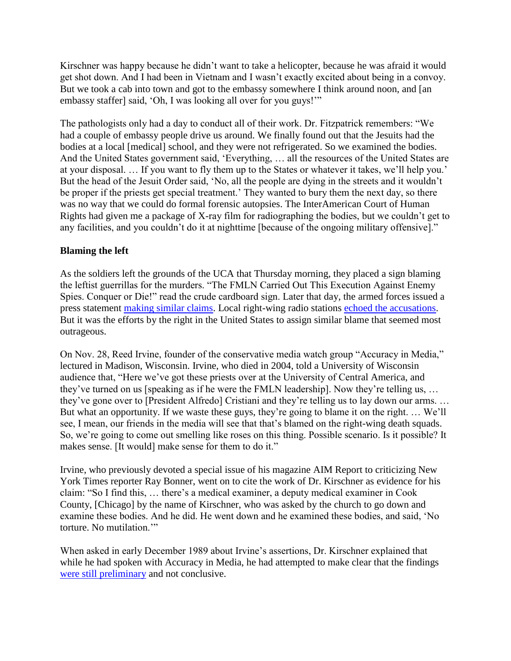Kirschner was happy because he didn't want to take a helicopter, because he was afraid it would get shot down. And I had been in Vietnam and I wasn't exactly excited about being in a convoy. But we took a cab into town and got to the embassy somewhere I think around noon, and [an embassy staffer] said, 'Oh, I was looking all over for you guys!'"

The pathologists only had a day to conduct all of their work. Dr. Fitzpatrick remembers: "We had a couple of embassy people drive us around. We finally found out that the Jesuits had the bodies at a local [medical] school, and they were not refrigerated. So we examined the bodies. And the United States government said, 'Everything, … all the resources of the United States are at your disposal. … If you want to fly them up to the States or whatever it takes, we'll help you.' But the head of the Jesuit Order said, 'No, all the people are dying in the streets and it wouldn't be proper if the priests get special treatment.' They wanted to bury them the next day, so there was no way that we could do formal forensic autopsies. The InterAmerican Court of Human Rights had given me a package of X-ray film for radiographing the bodies, but we couldn't get to any facilities, and you couldn't do it at nighttime [because of the ongoing military offensive]."

### **Blaming the left**

As the soldiers left the grounds of the UCA that Thursday morning, they placed a sign blaming the leftist guerrillas for the murders. "The FMLN Carried Out This Execution Against Enemy Spies. Conquer or Die!" read the crude cardboard sign. Later that day, the armed forces issued a press statement [making similar claims.](http://archive-research.com/SV-Jesuit/19891116.2110-SV-FBIS-Jesuits-ESAF_blames_FMLN.pdf) Local right-wing radio stations [echoed the accusations.](http://articles.latimes.com/1989-11-17/world/la-fg-salvadorpriests89_1_five-other-jesuit-dormitory-cook-nightclothes-and-slippers/2) But it was the efforts by the right in the United States to assign similar blame that seemed most outrageous.

On Nov. 28, Reed Irvine, founder of the conservative media watch group "Accuracy in Media," lectured in Madison, Wisconsin. Irvine, who died in 2004, told a University of Wisconsin audience that, "Here we've got these priests over at the University of Central America, and they've turned on us [speaking as if he were the FMLN leadership]. Now they're telling us, … they've gone over to [President Alfredo] Cristiani and they're telling us to lay down our arms. … But what an opportunity. If we waste these guys, they're going to blame it on the right. … We'll see, I mean, our friends in the media will see that that's blamed on the right-wing death squads. So, we're going to come out smelling like roses on this thing. Possible scenario. Is it possible? It makes sense. [It would] make sense for them to do it."

Irvine, who previously devoted a special issue of his magazine AIM Report to criticizing New York Times reporter Ray Bonner, went on to cite the work of Dr. Kirschner as evidence for his claim: "So I find this, … there's a medical examiner, a deputy medical examiner in Cook County, [Chicago] by the name of Kirschner, who was asked by the church to go down and examine these bodies. And he did. He went down and he examined these bodies, and said, 'No torture. No mutilation.'"

When asked in early December 1989 about Irvine's assertions, Dr. Kirschner explained that while he had spoken with Accuracy in Media, he had attempted to make clear that the findings [were still preliminary](http://newsok.com/forensic-expert-to-help-investigate-6-priests-murders/article/2296815/?page=1) and not conclusive.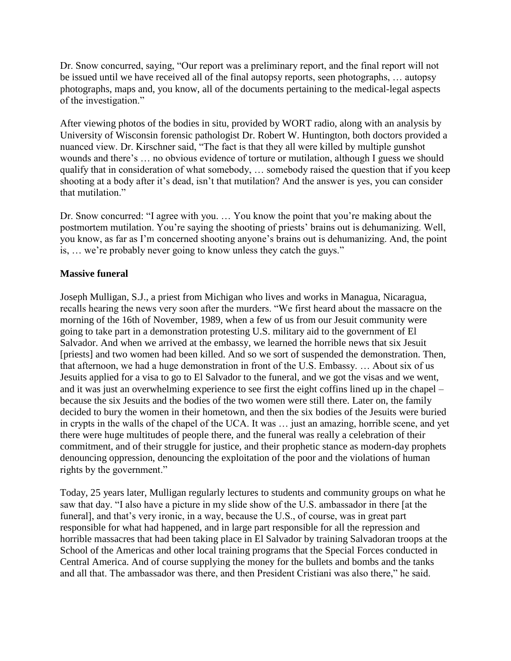Dr. Snow concurred, saying, "Our report was a preliminary report, and the final report will not be issued until we have received all of the final autopsy reports, seen photographs, … autopsy photographs, maps and, you know, all of the documents pertaining to the medical-legal aspects of the investigation."

After viewing photos of the bodies in situ, provided by WORT radio, along with an analysis by University of Wisconsin forensic pathologist Dr. Robert W. Huntington, both doctors provided a nuanced view. Dr. Kirschner said, "The fact is that they all were killed by multiple gunshot wounds and there's … no obvious evidence of torture or mutilation, although I guess we should qualify that in consideration of what somebody, … somebody raised the question that if you keep shooting at a body after it's dead, isn't that mutilation? And the answer is yes, you can consider that mutilation."

Dr. Snow concurred: "I agree with you. … You know the point that you're making about the postmortem mutilation. You're saying the shooting of priests' brains out is dehumanizing. Well, you know, as far as I'm concerned shooting anyone's brains out is dehumanizing. And, the point is, … we're probably never going to know unless they catch the guys."

# **Massive funeral**

Joseph Mulligan, S.J., a priest from Michigan who lives and works in Managua, Nicaragua, recalls hearing the news very soon after the murders. "We first heard about the massacre on the morning of the 16th of November, 1989, when a few of us from our Jesuit community were going to take part in a demonstration protesting U.S. military aid to the government of El Salvador. And when we arrived at the embassy, we learned the horrible news that six Jesuit [priests] and two women had been killed. And so we sort of suspended the demonstration. Then, that afternoon, we had a huge demonstration in front of the U.S. Embassy. … About six of us Jesuits applied for a visa to go to El Salvador to the funeral, and we got the visas and we went, and it was just an overwhelming experience to see first the eight coffins lined up in the chapel – because the six Jesuits and the bodies of the two women were still there. Later on, the family decided to bury the women in their hometown, and then the six bodies of the Jesuits were buried in crypts in the walls of the chapel of the UCA. It was … just an amazing, horrible scene, and yet there were huge multitudes of people there, and the funeral was really a celebration of their commitment, and of their struggle for justice, and their prophetic stance as modern-day prophets denouncing oppression, denouncing the exploitation of the poor and the violations of human rights by the government."

Today, 25 years later, Mulligan regularly lectures to students and community groups on what he saw that day. "I also have a picture in my slide show of the U.S. ambassador in there [at the funeral], and that's very ironic, in a way, because the U.S., of course, was in great part responsible for what had happened, and in large part responsible for all the repression and horrible massacres that had been taking place in El Salvador by training Salvadoran troops at the School of the Americas and other local training programs that the Special Forces conducted in Central America. And of course supplying the money for the bullets and bombs and the tanks and all that. The ambassador was there, and then President Cristiani was also there," he said.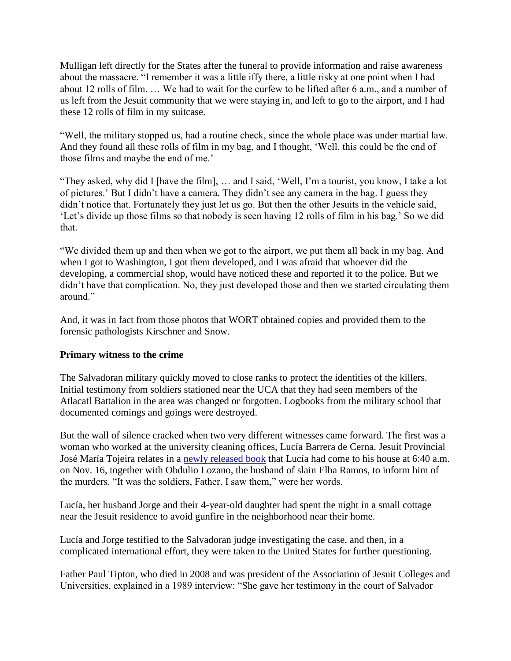Mulligan left directly for the States after the funeral to provide information and raise awareness about the massacre. "I remember it was a little iffy there, a little risky at one point when I had about 12 rolls of film. … We had to wait for the curfew to be lifted after 6 a.m., and a number of us left from the Jesuit community that we were staying in, and left to go to the airport, and I had these 12 rolls of film in my suitcase.

"Well, the military stopped us, had a routine check, since the whole place was under martial law. And they found all these rolls of film in my bag, and I thought, 'Well, this could be the end of those films and maybe the end of me.'

"They asked, why did I [have the film], … and I said, 'Well, I'm a tourist, you know, I take a lot of pictures.' But I didn't have a camera. They didn't see any camera in the bag. I guess they didn't notice that. Fortunately they just let us go. But then the other Jesuits in the vehicle said, 'Let's divide up those films so that nobody is seen having 12 rolls of film in his bag.' So we did that.

"We divided them up and then when we got to the airport, we put them all back in my bag. And when I got to Washington, I got them developed, and I was afraid that whoever did the developing, a commercial shop, would have noticed these and reported it to the police. But we didn't have that complication. No, they just developed those and then we started circulating them around<sup>"</sup>

And, it was in fact from those photos that WORT obtained copies and provided them to the forensic pathologists Kirschner and Snow.

# **Primary witness to the crime**

The Salvadoran military quickly moved to close ranks to protect the identities of the killers. Initial testimony from soldiers stationed near the UCA that they had seen members of the Atlacatl Battalion in the area was changed or forgotten. Logbooks from the military school that documented comings and goings were destroyed.

But the wall of silence cracked when two very different witnesses came forward. The first was a woman who worked at the university cleaning offices, Lucía Barrera de Cerna. Jesuit Provincial José María Tojeira relates in a [newly released book](http://www.orbisbooks.com/la-verdad.html) that Lucía had come to his house at 6:40 a.m. on Nov. 16, together with Obdulio Lozano, the husband of slain Elba Ramos, to inform him of the murders. "It was the soldiers, Father. I saw them," were her words.

Lucía, her husband Jorge and their 4-year-old daughter had spent the night in a small cottage near the Jesuit residence to avoid gunfire in the neighborhood near their home.

Lucía and Jorge testified to the Salvadoran judge investigating the case, and then, in a complicated international effort, they were taken to the United States for further questioning.

Father Paul Tipton, who died in 2008 and was president of the Association of Jesuit Colleges and Universities, explained in a 1989 interview: "She gave her testimony in the court of Salvador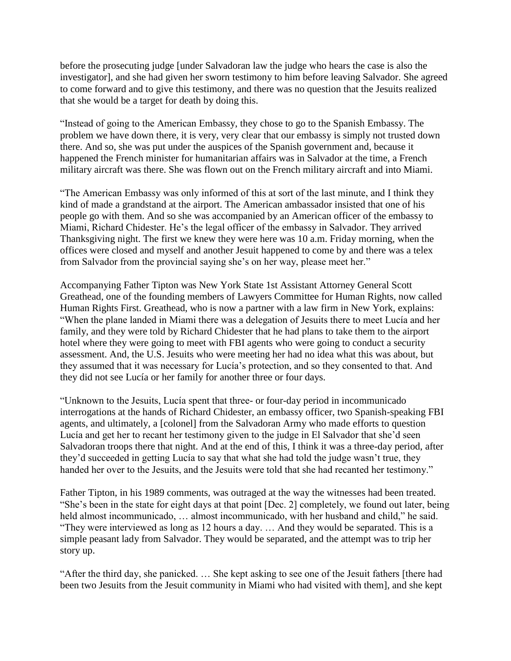before the prosecuting judge [under Salvadoran law the judge who hears the case is also the investigator], and she had given her sworn testimony to him before leaving Salvador. She agreed to come forward and to give this testimony, and there was no question that the Jesuits realized that she would be a target for death by doing this.

"Instead of going to the American Embassy, they chose to go to the Spanish Embassy. The problem we have down there, it is very, very clear that our embassy is simply not trusted down there. And so, she was put under the auspices of the Spanish government and, because it happened the French minister for humanitarian affairs was in Salvador at the time, a French military aircraft was there. She was flown out on the French military aircraft and into Miami.

"The American Embassy was only informed of this at sort of the last minute, and I think they kind of made a grandstand at the airport. The American ambassador insisted that one of his people go with them. And so she was accompanied by an American officer of the embassy to Miami, Richard Chidester. He's the legal officer of the embassy in Salvador. They arrived Thanksgiving night. The first we knew they were here was 10 a.m. Friday morning, when the offices were closed and myself and another Jesuit happened to come by and there was a telex from Salvador from the provincial saying she's on her way, please meet her."

Accompanying Father Tipton was New York State 1st Assistant Attorney General Scott Greathead, one of the founding members of Lawyers Committee for Human Rights, now called Human Rights First. Greathead, who is now a partner with a law firm in New York, explains: "When the plane landed in Miami there was a delegation of Jesuits there to meet Lucía and her family, and they were told by Richard Chidester that he had plans to take them to the airport hotel where they were going to meet with FBI agents who were going to conduct a security assessment. And, the U.S. Jesuits who were meeting her had no idea what this was about, but they assumed that it was necessary for Lucía's protection, and so they consented to that. And they did not see Lucía or her family for another three or four days.

"Unknown to the Jesuits, Lucía spent that three- or four-day period in incommunicado interrogations at the hands of Richard Chidester, an embassy officer, two Spanish-speaking FBI agents, and ultimately, a [colonel] from the Salvadoran Army who made efforts to question Lucía and get her to recant her testimony given to the judge in El Salvador that she'd seen Salvadoran troops there that night. And at the end of this, I think it was a three-day period, after they'd succeeded in getting Lucía to say that what she had told the judge wasn't true, they handed her over to the Jesuits, and the Jesuits were told that she had recanted her testimony."

Father Tipton, in his 1989 comments, was outraged at the way the witnesses had been treated. "She's been in the state for eight days at that point [Dec. 2] completely, we found out later, being held almost incommunicado, … almost incommunicado, with her husband and child," he said. "They were interviewed as long as 12 hours a day. … And they would be separated. This is a simple peasant lady from Salvador. They would be separated, and the attempt was to trip her story up.

"After the third day, she panicked. … She kept asking to see one of the Jesuit fathers [there had been two Jesuits from the Jesuit community in Miami who had visited with them], and she kept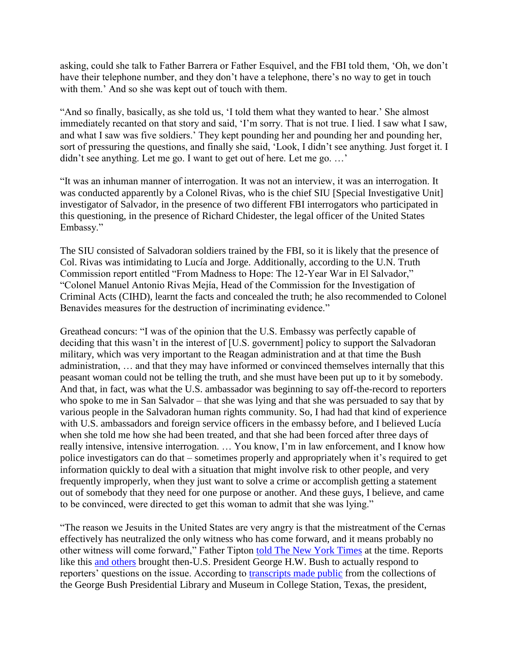asking, could she talk to Father Barrera or Father Esquivel, and the FBI told them, 'Oh, we don't have their telephone number, and they don't have a telephone, there's no way to get in touch with them.' And so she was kept out of touch with them.

"And so finally, basically, as she told us, 'I told them what they wanted to hear.' She almost immediately recanted on that story and said, 'I'm sorry. That is not true. I lied. I saw what I saw, and what I saw was five soldiers.' They kept pounding her and pounding her and pounding her, sort of pressuring the questions, and finally she said, 'Look, I didn't see anything. Just forget it. I didn't see anything. Let me go. I want to get out of here. Let me go. …'

"It was an inhuman manner of interrogation. It was not an interview, it was an interrogation. It was conducted apparently by a Colonel Rivas, who is the chief SIU [Special Investigative Unit] investigator of Salvador, in the presence of two different FBI interrogators who participated in this questioning, in the presence of Richard Chidester, the legal officer of the United States Embassy."

The SIU consisted of Salvadoran soldiers trained by the FBI, so it is likely that the presence of Col. Rivas was intimidating to Lucía and Jorge. Additionally, according to the U.N. Truth Commission report entitled "From Madness to Hope: The 12-Year War in El Salvador," "Colonel Manuel Antonio Rivas Mejía, Head of the Commission for the Investigation of Criminal Acts (CIHD), learnt the facts and concealed the truth; he also recommended to Colonel Benavides measures for the destruction of incriminating evidence."

Greathead concurs: "I was of the opinion that the U.S. Embassy was perfectly capable of deciding that this wasn't in the interest of [U.S. government] policy to support the Salvadoran military, which was very important to the Reagan administration and at that time the Bush administration, … and that they may have informed or convinced themselves internally that this peasant woman could not be telling the truth, and she must have been put up to it by somebody. And that, in fact, was what the U.S. ambassador was beginning to say off-the-record to reporters who spoke to me in San Salvador – that she was lying and that she was persuaded to say that by various people in the Salvadoran human rights community. So, I had had that kind of experience with U.S. ambassadors and foreign service officers in the embassy before, and I believed Lucía when she told me how she had been treated, and that she had been forced after three days of really intensive, intensive interrogation. … You know, I'm in law enforcement, and I know how police investigators can do that – sometimes properly and appropriately when it's required to get information quickly to deal with a situation that might involve risk to other people, and very frequently improperly, when they just want to solve a crime or accomplish getting a statement out of somebody that they need for one purpose or another. And these guys, I believe, and came to be convinced, were directed to get this woman to admit that she was lying."

"The reason we Jesuits in the United States are very angry is that the mistreatment of the Cernas effectively has neutralized the only witness who has come forward, and it means probably no other witness will come forward," Father Tipton [told The New York Times](http://www.nytimes.com/1989/12/19/world/fbi-discounts-salvador-inquiry-role.html) at the time. Reports like this [and others](http://www.nytimes.com/1989/12/18/world/witnesses-in-jesuit-slayings-charge-harassment-in-us.html) brought then-U.S. President George H.W. Bush to actually respond to reporters' questions on the issue. According to [transcripts made public](http://bushlibrary.tamu.edu/research/public_papers.php?id=1320&year=1989&month=12) from the collections of the George Bush Presidential Library and Museum in College Station, Texas, the president,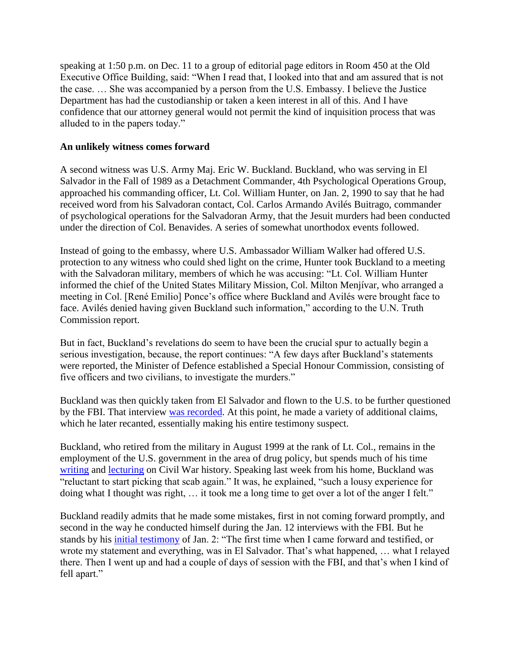speaking at 1:50 p.m. on Dec. 11 to a group of editorial page editors in Room 450 at the Old Executive Office Building, said: "When I read that, I looked into that and am assured that is not the case. … She was accompanied by a person from the U.S. Embassy. I believe the Justice Department has had the custodianship or taken a keen interest in all of this. And I have confidence that our attorney general would not permit the kind of inquisition process that was alluded to in the papers today."

### **An unlikely witness comes forward**

A second witness was U.S. Army Maj. Eric W. Buckland. Buckland, who was serving in El Salvador in the Fall of 1989 as a Detachment Commander, 4th Psychological Operations Group, approached his commanding officer, Lt. Col. William Hunter, on Jan. 2, 1990 to say that he had received word from his Salvadoran contact, Col. Carlos Armando Avilés Buitrago, commander of psychological operations for the Salvadoran Army, that the Jesuit murders had been conducted under the direction of Col. Benavides. A series of somewhat unorthodox events followed.

Instead of going to the embassy, where U.S. Ambassador William Walker had offered U.S. protection to any witness who could shed light on the crime, Hunter took Buckland to a meeting with the Salvadoran military, members of which he was accusing: "Lt. Col. William Hunter informed the chief of the United States Military Mission, Col. Milton Menjívar, who arranged a meeting in Col. [René Emilio] Ponce's office where Buckland and Avilés were brought face to face. Avilés denied having given Buckland such information," according to the U.N. Truth Commission report.

But in fact, Buckland's revelations do seem to have been the crucial spur to actually begin a serious investigation, because, the report continues: "A few days after Buckland's statements were reported, the Minister of Defence established a Special Honour Commission, consisting of five officers and two civilians, to investigate the murders."

Buckland was then quickly taken from El Salvador and flown to the U.S. to be further questioned by the FBI. That interview [was recorded.](http://www.franksmyth.com/wp-content/uploads/2011/01/Release-the-Jesuit-Tapes.pdf) At this point, he made a variety of additional claims, which he later recanted, essentially making his entire testimony suspect.

Buckland, who retired from the military in August 1999 at the rank of Lt. Col., remains in the employment of the U.S. government in the area of drug policy, but spends much of his time [writing](http://isbn.directory/book/9780914927655) and [lecturing](http://www.mosbymen.com/) on Civil War history. Speaking last week from his home, Buckland was "reluctant to start picking that scab again." It was, he explained, "such a lousy experience for doing what I thought was right, … it took me a long time to get over a lot of the anger I felt."

Buckland readily admits that he made some mistakes, first in not coming forward promptly, and second in the way he conducted himself during the Jan. 12 interviews with the FBI. But he stands by his [initial testimony](http://s3.amazonaws.com/omeka-net%2F11079%2Farchive%2Ffiles%2Fda73ba02708d46e0b5225fffc8a34ad2.pdf?AWSAccessKeyId=AKIAI3ATG3OSQLO5HGKA&Expires=1416123782&Signature=H8A82La3kbqvQS5Wnw60fhxnBHg%3D) of Jan. 2: "The first time when I came forward and testified, or wrote my statement and everything, was in El Salvador. That's what happened, … what I relayed there. Then I went up and had a couple of days of session with the FBI, and that's when I kind of fell apart."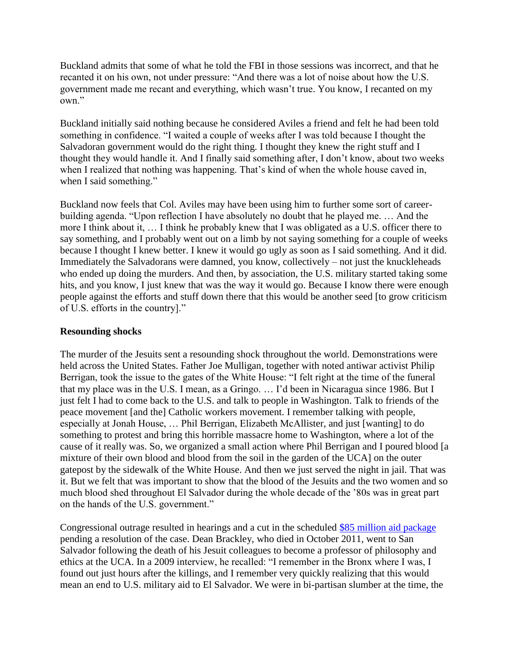Buckland admits that some of what he told the FBI in those sessions was incorrect, and that he recanted it on his own, not under pressure: "And there was a lot of noise about how the U.S. government made me recant and everything, which wasn't true. You know, I recanted on my own."

Buckland initially said nothing because he considered Aviles a friend and felt he had been told something in confidence. "I waited a couple of weeks after I was told because I thought the Salvadoran government would do the right thing. I thought they knew the right stuff and I thought they would handle it. And I finally said something after, I don't know, about two weeks when I realized that nothing was happening. That's kind of when the whole house caved in, when I said something."

Buckland now feels that Col. Aviles may have been using him to further some sort of careerbuilding agenda. "Upon reflection I have absolutely no doubt that he played me. … And the more I think about it, … I think he probably knew that I was obligated as a U.S. officer there to say something, and I probably went out on a limb by not saying something for a couple of weeks because I thought I knew better. I knew it would go ugly as soon as I said something. And it did. Immediately the Salvadorans were damned, you know, collectively – not just the knuckleheads who ended up doing the murders. And then, by association, the U.S. military started taking some hits, and you know, I just knew that was the way it would go. Because I know there were enough people against the efforts and stuff down there that this would be another seed [to grow criticism of U.S. efforts in the country]."

### **Resounding shocks**

The murder of the Jesuits sent a resounding shock throughout the world. Demonstrations were held across the United States. Father Joe Mulligan, together with noted antiwar activist Philip Berrigan, took the issue to the gates of the White House: "I felt right at the time of the funeral that my place was in the U.S. I mean, as a Gringo. … I'd been in Nicaragua since 1986. But I just felt I had to come back to the U.S. and talk to people in Washington. Talk to friends of the peace movement [and the] Catholic workers movement. I remember talking with people, especially at Jonah House, … Phil Berrigan, Elizabeth McAllister, and just [wanting] to do something to protest and bring this horrible massacre home to Washington, where a lot of the cause of it really was. So, we organized a small action where Phil Berrigan and I poured blood [a mixture of their own blood and blood from the soil in the garden of the UCA] on the outer gatepost by the sidewalk of the White House. And then we just served the night in jail. That was it. But we felt that was important to show that the blood of the Jesuits and the two women and so much blood shed throughout El Salvador during the whole decade of the '80s was in great part on the hands of the U.S. government."

Congressional outrage resulted in hearings and a cut in the scheduled [\\$85 million aid package](https://www.congress.gov/bill/101st-congress/senate-bill/2954) pending a resolution of the case. Dean Brackley, who died in October 2011, went to San Salvador following the death of his Jesuit colleagues to become a professor of philosophy and ethics at the UCA. In a 2009 interview, he recalled: "I remember in the Bronx where I was, I found out just hours after the killings, and I remember very quickly realizing that this would mean an end to U.S. military aid to El Salvador. We were in bi-partisan slumber at the time, the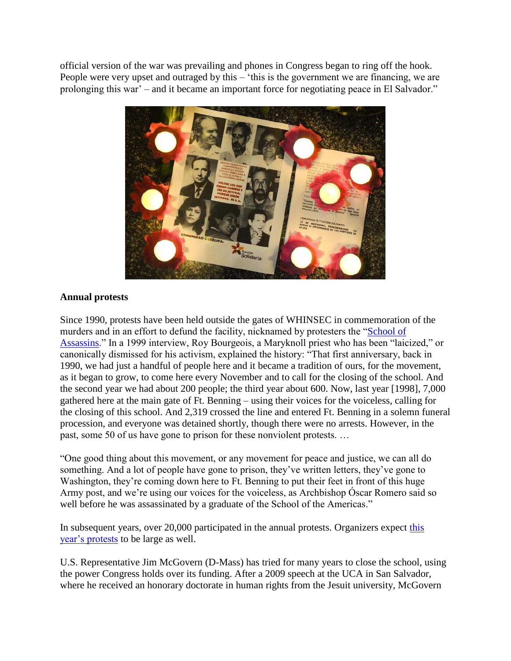official version of the war was prevailing and phones in Congress began to ring off the hook. People were very upset and outraged by this – 'this is the government we are financing, we are prolonging this war' – and it became an important force for negotiating peace in El Salvador."



# **Annual protests**

Since 1990, protests have been held outside the gates of WHINSEC in commemoration of the murders and in an effort to defund the facility, nicknamed by protesters the ["School of](http://www.addictedtowar.com/docs/soaw.htm)  [Assassins.](http://www.addictedtowar.com/docs/soaw.htm)" In a 1999 interview, Roy Bourgeois, a Maryknoll priest who has been "laicized," or canonically dismissed for his activism, explained the history: "That first anniversary, back in 1990, we had just a handful of people here and it became a tradition of ours, for the movement, as it began to grow, to come here every November and to call for the closing of the school. And the second year we had about 200 people; the third year about 600. Now, last year [1998], 7,000 gathered here at the main gate of Ft. Benning – using their voices for the voiceless, calling for the closing of this school. And 2,319 crossed the line and entered Ft. Benning in a solemn funeral procession, and everyone was detained shortly, though there were no arrests. However, in the past, some 50 of us have gone to prison for these nonviolent protests. …

"One good thing about this movement, or any movement for peace and justice, we can all do something. And a lot of people have gone to prison, they've written letters, they've gone to Washington, they're coming down here to Ft. Benning to put their feet in front of this huge Army post, and we're using our voices for the voiceless, as Archbishop Óscar Romero said so well before he was assassinated by a graduate of the School of the Americas."

In subsequent years, over 20,000 participated in the annual protests. Organizers expect this [year's protests](http://soaw.org/november/en/) to be large as well.

U.S. Representative Jim McGovern (D-Mass) has tried for many years to close the school, using the power Congress holds over its funding. After a 2009 speech at the UCA in San Salvador, where he received an honorary doctorate in human rights from the Jesuit university, McGovern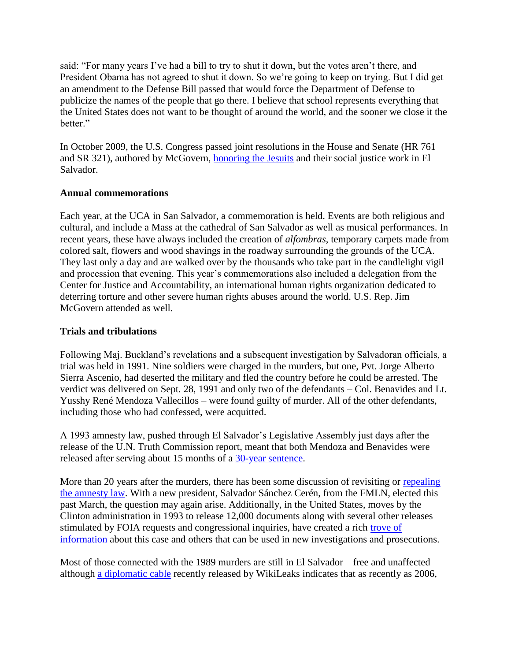said: "For many years I've had a bill to try to shut it down, but the votes aren't there, and President Obama has not agreed to shut it down. So we're going to keep on trying. But I did get an amendment to the Defense Bill passed that would force the Department of Defense to publicize the names of the people that go there. I believe that school represents everything that the United States does not want to be thought of around the world, and the sooner we close it the better."

In October 2009, the U.S. Congress passed joint resolutions in the House and Senate (HR 761 and SR 321), authored by McGovern, [honoring the Jesuits](http://www.wola.org/sites/default/files/downloadable/Central%20America/El%20Salvador/Past/h.res.%20761%20jesuit%20martyrs%20commemoration.pdf) and their social justice work in El Salvador.

### **Annual commemorations**

Each year, at the UCA in San Salvador, a commemoration is held. Events are both religious and cultural, and include a Mass at the cathedral of San Salvador as well as musical performances. In recent years, these have always included the creation of *alfombras*, temporary carpets made from colored salt, flowers and wood shavings in the roadway surrounding the grounds of the UCA. They last only a day and are walked over by the thousands who take part in the candlelight vigil and procession that evening. This year's commemorations also included a delegation from the Center for Justice and Accountability, an international human rights organization dedicated to deterring torture and other severe human rights abuses around the world. U.S. Rep. Jim McGovern attended as well.

### **Trials and tribulations**

Following Maj. Buckland's revelations and a subsequent investigation by Salvadoran officials, a trial was held in 1991. Nine soldiers were charged in the murders, but one, Pvt. Jorge Alberto Sierra Ascenio, had deserted the military and fled the country before he could be arrested. The verdict was delivered on Sept. 28, 1991 and only two of the defendants – Col. Benavides and Lt. Yusshy René Mendoza Vallecillos – were found guilty of murder. All of the other defendants, including those who had confessed, were acquitted.

A 1993 amnesty law, pushed through El Salvador's Legislative Assembly just days after the release of the U.N. Truth Commission report, meant that both Mendoza and Benavides were released after serving about 15 months of a [30-year sentence.](http://articles.latimes.com/1993-04-02/news/mn-18159_1_el-salvador)

More than 20 years after the murders, there has been some discussion of revisiting or [repealing](http://www.ticotimes.net/2013/03/22/will-el-salvador-end-amnesty)  [the amnesty law.](http://www.ticotimes.net/2013/03/22/will-el-salvador-end-amnesty) With a new president, Salvador Sánchez Cerén, from the FMLN, elected this past March, the question may again arise. Additionally, in the United States, moves by the Clinton administration in 1993 to release 12,000 documents along with several other releases stimulated by FOIA requests and congressional inquiries, have created a rich [trove of](http://www2.gwu.edu/~nsarchiv/nsa/publications/elsalvador2/)  [information](http://www2.gwu.edu/~nsarchiv/nsa/publications/elsalvador2/) about this case and others that can be used in new investigations and prosecutions.

Most of those connected with the 1989 murders are still in El Salvador – free and unaffected – although [a diplomatic cable](https://cablegatesearch.wikileaks.org/cable.php?id=06SANSALVADOR1847) recently released by WikiLeaks indicates that as recently as 2006,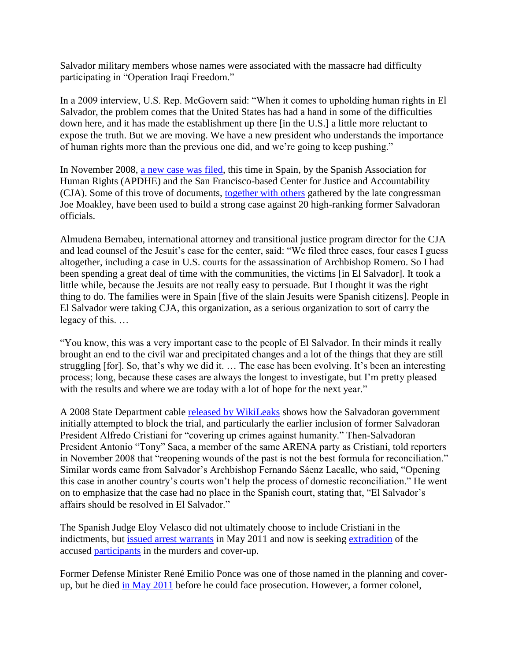Salvador military members whose names were associated with the massacre had difficulty participating in "Operation Iraqi Freedom."

In a 2009 interview, U.S. Rep. McGovern said: "When it comes to upholding human rights in El Salvador, the problem comes that the United States has had a hand in some of the difficulties down here, and it has made the establishment up there [in the U.S.] a little more reluctant to expose the truth. But we are moving. We have a new president who understands the importance of human rights more than the previous one did, and we're going to keep pushing."

In November 2008, [a new case was filed,](http://cja.org/article.php?list=type&type=84) this time in Spain, by the Spanish Association for Human Rights (APDHE) and the San Francisco-based Center for Justice and Accountability (CJA). Some of this trove of documents, [together with others](http://www.suffolk.edu/moakley/elsalvadorguide.html) gathered by the late congressman Joe Moakley, have been used to build a strong case against 20 high-ranking former Salvadoran officials.

Almudena Bernabeu, international attorney and transitional justice program director for the CJA and lead counsel of the Jesuit's case for the center, said: "We filed three cases, four cases I guess altogether, including a case in U.S. courts for the assassination of Archbishop Romero. So I had been spending a great deal of time with the communities, the victims [in El Salvador]. It took a little while, because the Jesuits are not really easy to persuade. But I thought it was the right thing to do. The families were in Spain [five of the slain Jesuits were Spanish citizens]. People in El Salvador were taking CJA, this organization, as a serious organization to sort of carry the legacy of this. …

"You know, this was a very important case to the people of El Salvador. In their minds it really brought an end to the civil war and precipitated changes and a lot of the things that they are still struggling [for]. So, that's why we did it. … The case has been evolving. It's been an interesting process; long, because these cases are always the longest to investigate, but I'm pretty pleased with the results and where we are today with a lot of hope for the next year."

A 2008 State Department cable [released by WikiLeaks](http://www.wikileaks.elfaro.net/es/201106/cables/4326/) shows how the Salvadoran government initially attempted to block the trial, and particularly the earlier inclusion of former Salvadoran President Alfredo Cristiani for "covering up crimes against humanity." Then-Salvadoran President Antonio "Tony" Saca, a member of the same ARENA party as Cristiani, told reporters in November 2008 that "reopening wounds of the past is not the best formula for reconciliation." Similar words came from Salvador's Archbishop Fernando Sáenz Lacalle, who said, "Opening this case in another country's courts won't help the process of domestic reconciliation." He went on to emphasize that the case had no place in the Spanish court, stating that, "El Salvador's affairs should be resolved in El Salvador."

The Spanish Judge Eloy Velasco did not ultimately choose to include Cristiani in the indictments, but [issued arrest warrants](http://cja.org/downloads/JesuitsArrestWarrants.pdf) in May 2011 and now is seeking [extradition](http://nsarchive.wordpress.com/2011/05/31/documents-provide-key-evidence-in-jesuit-case-arrest-warrant/) of the accused [participants](http://www.ticotimes.net/2011/06/01/spain-pursues-salvadoran-soldiers-over-1989-killings) in the murders and cover-up.

Former Defense Minister René Emilio Ponce was one of those named in the planning and coverup, but he died [in May 2011](https://nsarchive.wordpress.com/2011/05/05/salvadoran-military-official-accused-of-ordering-jesuit-massacre-dies-at-64/) before he could face prosecution. However, a former colonel,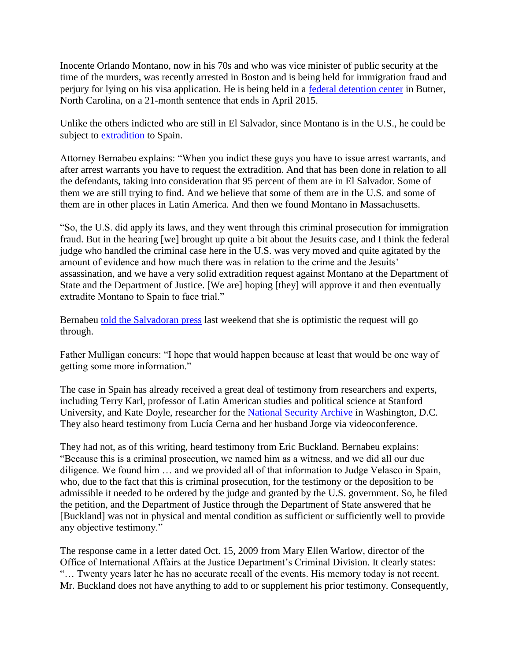Inocente Orlando Montano, now in his 70s and who was vice minister of public security at the time of the murders, was recently arrested in Boston and is being held for immigration fraud and perjury for lying on his visa application. He is being held in a [federal detention center](http://www.nytimes.com/2013/08/28/world/americas/salvadoran-linked-to-killing-to-serve-time-in-us-prison.html?_r=1&) in Butner, North Carolina, on a 21-month sentence that ends in April 2015.

Unlike the others indicted who are still in El Salvador, since Montano is in the U.S., he could be subject to [extradition](http://www.cja.org/article.php?list=type&type=518) to Spain.

Attorney Bernabeu explains: "When you indict these guys you have to issue arrest warrants, and after arrest warrants you have to request the extradition. And that has been done in relation to all the defendants, taking into consideration that 95 percent of them are in El Salvador. Some of them we are still trying to find. And we believe that some of them are in the U.S. and some of them are in other places in Latin America. And then we found Montano in Massachusetts.

"So, the U.S. did apply its laws, and they went through this criminal prosecution for immigration fraud. But in the hearing [we] brought up quite a bit about the Jesuits case, and I think the federal judge who handled the criminal case here in the U.S. was very moved and quite agitated by the amount of evidence and how much there was in relation to the crime and the Jesuits' assassination, and we have a very solid extradition request against Montano at the Department of State and the Department of Justice. [We are] hoping [they] will approve it and then eventually extradite Montano to Spain to face trial."

Bernabeu [told the Salvadoran press](http://casojesuitas.elfaro.net/entrevista-a-almudena-bernabeu/) last weekend that she is optimistic the request will go through.

Father Mulligan concurs: "I hope that would happen because at least that would be one way of getting some more information."

The case in Spain has already received a great deal of testimony from researchers and experts, including Terry Karl, professor of Latin American studies and political science at Stanford University, and Kate Doyle, researcher for the [National Security Archive](http://nsarchive.wordpress.com/2009/11/16/right-to-justice-in-el-salvador/) in Washington, D.C. They also heard testimony from Lucía Cerna and her husband Jorge via videoconference.

They had not, as of this writing, heard testimony from Eric Buckland. Bernabeu explains: "Because this is a criminal prosecution, we named him as a witness, and we did all our due diligence. We found him … and we provided all of that information to Judge Velasco in Spain, who, due to the fact that this is criminal prosecution, for the testimony or the deposition to be admissible it needed to be ordered by the judge and granted by the U.S. government. So, he filed the petition, and the Department of Justice through the Department of State answered that he [Buckland] was not in physical and mental condition as sufficient or sufficiently well to provide any objective testimony."

The response came in a letter dated Oct. 15, 2009 from Mary Ellen Warlow, director of the Office of International Affairs at the Justice Department's Criminal Division. It clearly states: "… Twenty years later he has no accurate recall of the events. His memory today is not recent. Mr. Buckland does not have anything to add to or supplement his prior testimony. Consequently,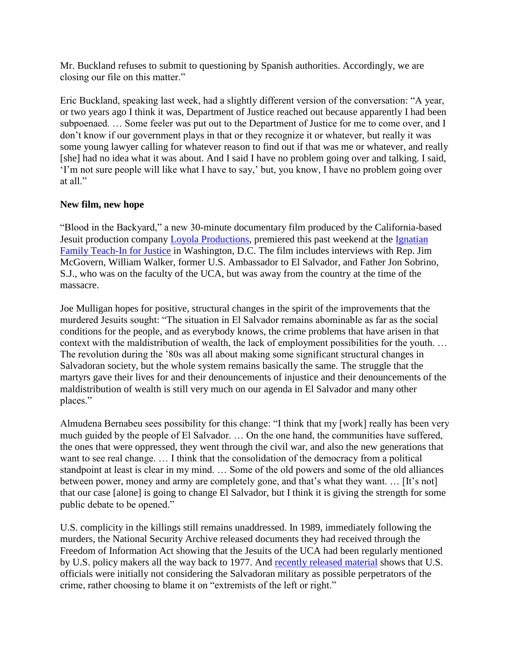Mr. Buckland refuses to submit to questioning by Spanish authorities. Accordingly, we are closing our file on this matter."

Eric Buckland, speaking last week, had a slightly different version of the conversation: "A year, or two years ago I think it was, Department of Justice reached out because apparently I had been subpoenaed. … Some feeler was put out to the Department of Justice for me to come over, and I don't know if our government plays in that or they recognize it or whatever, but really it was some young lawyer calling for whatever reason to find out if that was me or whatever, and really [she] had no idea what it was about. And I said I have no problem going over and talking. I said, 'I'm not sure people will like what I have to say,' but, you know, I have no problem going over at all."

# **New film, new hope**

"Blood in the Backyard," a new 30-minute documentary film produced by the California-based Jesuit production company [Loyola Productions,](http://loyolaproductions.com/) premiered this past weekend at the [Ignatian](http://ignatiansolidarity.net/iftj/)  [Family Teach-In for Justice](http://ignatiansolidarity.net/iftj/) in Washington, D.C. The film includes interviews with Rep. Jim McGovern, William Walker, former U.S. Ambassador to El Salvador, and Father Jon Sobrino, S.J., who was on the faculty of the UCA, but was away from the country at the time of the massacre.

Joe Mulligan hopes for positive, structural changes in the spirit of the improvements that the murdered Jesuits sought: "The situation in El Salvador remains abominable as far as the social conditions for the people, and as everybody knows, the crime problems that have arisen in that context with the maldistribution of wealth, the lack of employment possibilities for the youth. … The revolution during the '80s was all about making some significant structural changes in Salvadoran society, but the whole system remains basically the same. The struggle that the martyrs gave their lives for and their denouncements of injustice and their denouncements of the maldistribution of wealth is still very much on our agenda in El Salvador and many other places."

Almudena Bernabeu sees possibility for this change: "I think that my [work] really has been very much guided by the people of El Salvador. … On the one hand, the communities have suffered, the ones that were oppressed, they went through the civil war, and also the new generations that want to see real change. … I think that the consolidation of the democracy from a political standpoint at least is clear in my mind. … Some of the old powers and some of the old alliances between power, money and army are completely gone, and that's what they want. … [It's not] that our case [alone] is going to change El Salvador, but I think it is giving the strength for some public debate to be opened."

U.S. complicity in the killings still remains unaddressed. In 1989, immediately following the murders, the National Security Archive released documents they had received through the Freedom of Information Act showing that the Jesuits of the UCA had been regularly mentioned by U.S. policy makers all the way back to 1977. And [recently released material](http://www2.gwu.edu/~nsarchiv/NSAEBB/NSAEBB492/) shows that U.S. officials were initially not considering the Salvadoran military as possible perpetrators of the crime, rather choosing to blame it on "extremists of the left or right."